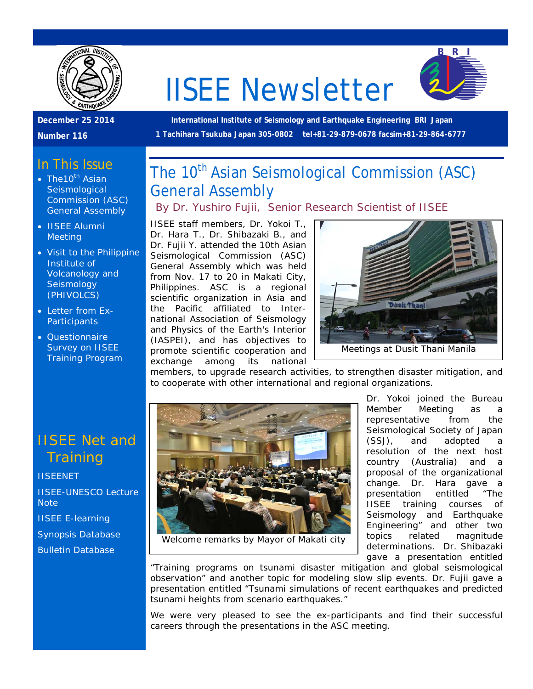

# IISEE Newsletter



**December 25 2014** 

**Number 116**

**International Institute of Seismology and Earthquake Engineering BRI Japan 1 Tachihara Tsukuba Japan 305-0802 tel+81-29-879-0678 facsim+81-29-864-6777**

#### In This Issue

- The10<sup>th</sup> Asian **Seismological** Commission (ASC) General Assembly
- IISEE Alumni Meeting
- Visit to the Philippine Institute of Volcanology and **Seismology** (PHIVOLCS)
- Letter from Ex-**Participants**
- Questionnaire Survey on IISEE Training Program

# IISEE Net and **Training**

**[IISEENET](http://iisee.kenken.go.jp/net/)** [IISEE-UNESCO Lecture](http://iisee/lna/)  **[Note](http://iisee/lna/)** [IISEE E-learning](http://iisee/el/) [Synopsis Database](http://iisee/syndb/) [Bulletin Database](http://iisee/bltndb/)

The 10<sup>th</sup> Asian Seismological Commission (ASC) General Assembly

#### *By Dr. Yushiro Fujii, Senior Research Scientist of IISEE*

IISEE staff members, Dr. Yokoi T., Dr. Hara T., Dr. Shibazaki B., and Dr. Fujii Y. attended the 10th Asian Seismological Commission (ASC) General Assembly which was held from Nov. 17 to 20 in Makati City, Philippines. ASC is a regional scientific organization in Asia and the Pacific affiliated to International Association of Seismology and Physics of the Earth's Interior (IASPEI), and has objectives to promote scientific cooperation and exchange among its national



members, to upgrade research activities, to strengthen disaster mitigation, and to cooperate with other international and regional organizations.



Welcome remarks by Mayor of Makati city

Dr. Yokoi joined the Bureau Member Meeting as a representative from the Seismological Society of Japan (SSJ), and adopted a resolution of the next host country (Australia) and a proposal of the organizational change. Dr. Hara gave a presentation entitled "The IISEE training courses of Seismology and Earthquake Engineering" and other two topics related magnitude determinations. Dr. Shibazaki gave a presentation entitled

"Training programs on tsunami disaster mitigation and global seismological observation" and another topic for modeling slow slip events. Dr. Fujii gave a presentation entitled "Tsunami simulations of recent earthquakes and predicted tsunami heights from scenario earthquakes."

We were very pleased to see the ex-participants and find their successful careers through the presentations in the ASC meeting.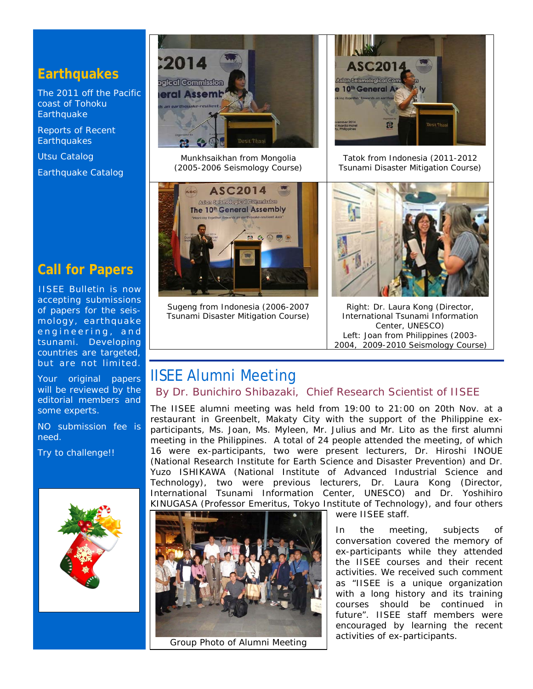#### **Earthquakes**

[The 2011 off the Pacific](http://iisee/special2/20110311tohoku.htm)  [coast of Tohoku](http://iisee/special2/20110311tohoku.htm)  **[Earthquake](http://iisee/special2/20110311tohoku.htm)** 

[Reports of Recent](http://iisee/quakes.htm)  **[Earthquakes](http://iisee/quakes.htm)** 

[Utsu Catalog](http://iisee/utsu/index_eng.html)

[Earthquake Catalog](http://iisee/eqcat/Top_page_en.htm)

# **Call for Papers**

IISEE Bulletin is now accepting submissions of papers for the seismology, earthquake engineering, and tsunami. Developing countries are targeted, but are not limited.

Your original papers will be reviewed by the editorial members and some experts.

NO submission fee is need.

Try to challenge!!





Munkhsaikhan from Mongolia (2005-2006 Seismology Course)



Sugeng from Indonesia (2006-2007 Tsunami Disaster Mitigation Course)



Tatok from Indonesia (2011-2012 Tsunami Disaster Mitigation Course)



Right: Dr. Laura Kong (Director, International Tsunami Information Center, UNESCO) Left: Joan from Philippines (2003- 2004, 2009-2010 Seismology Course)

# IISEE Alumni Meeting

#### *By Dr. Bunichiro Shibazaki, Chief Research Scientist of IISEE*

The IISEE alumni meeting was held from 19:00 to 21:00 on 20th Nov. at a restaurant in Greenbelt, Makaty City with the support of the Philippine exparticipants, Ms. Joan, Ms. Myleen, Mr. Julius and Mr. Lito as the first alumni meeting in the Philippines. A total of 24 people attended the meeting, of which 16 were ex-participants, two were present lecturers, Dr. Hiroshi INOUE (National Research Institute for Earth Science and Disaster Prevention) and Dr. Yuzo ISHIKAWA (National Institute of Advanced Industrial Science and Technology), two were previous lecturers, Dr. Laura Kong (Director, International Tsunami Information Center, UNESCO) and Dr. Yoshihiro KINUGASA (Professor Emeritus, Tokyo Institute of Technology), and four others



were IISEE staff.

In the meeting, subjects of conversation covered the memory of ex-participants while they attended the IISEE courses and their recent activities. We received such comment as "IISEE is a unique organization with a long history and its training courses should be continued in future". IISEE staff members were encouraged by learning the recent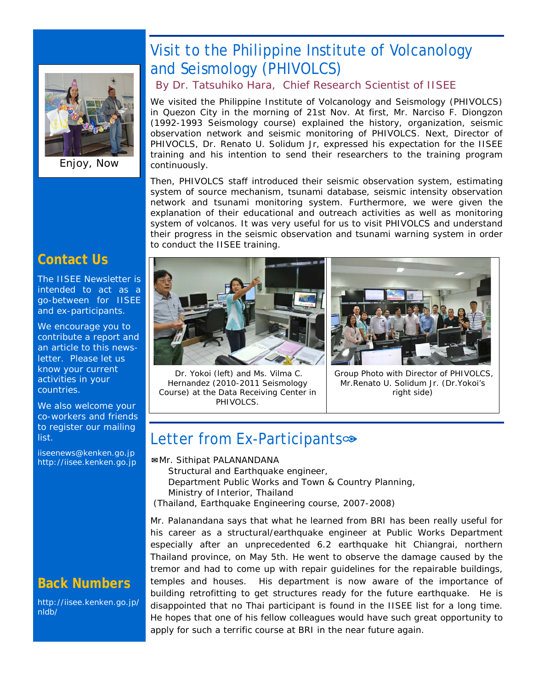

Enjoy, Now

# Visit to the Philippine Institute of Volcanology and Seismology (PHIVOLCS)

*By Dr. Tatsuhiko Hara, Chief Research Scientist of IISEE*

We visited the Philippine Institute of Volcanology and Seismology (PHIVOLCS) in Quezon City in the morning of 21st Nov. At first, Mr. Narciso F. Diongzon (1992-1993 Seismology course) explained the history, organization, seismic observation network and seismic monitoring of PHIVOLCS. Next, Director of PHIVOCLS, Dr. Renato U. Solidum Jr, expressed his expectation for the IISEE training and his intention to send their researchers to the training program continuously.

Then, PHIVOLCS staff introduced their seismic observation system, estimating system of source mechanism, tsunami database, seismic intensity observation network and tsunami monitoring system. Furthermore, we were given the explanation of their educational and outreach activities as well as monitoring system of volcanos. It was very useful for us to visit PHIVOLCS and understand their progress in the seismic observation and tsunami warning system in order to conduct the IISEE training.

#### **Contact Us**

The IISEE Newsletter is intended to act as a go-between for IISEE and ex-participants.

We encourage you to contribute a report and an article to this newsletter. Please let us know your current activities in your countries.

We also welcome your co-workers and friends to register our mailing list.

iiseenews@kenken.go.jp [http://iisee.kenken.go.jp](http://iisee.kenken.go.jp/)

# **Back Numbers**

[http://iisee.kenken.go.jp/](http://iisee.kenken.go.jp/nldb/) [nldb/](http://iisee.kenken.go.jp/nldb/)







Group Photo with Director of PHIVOLCS, Mr.Renato U. Solidum Jr. (Dr.Yokoi's right side)

# Letter from Ex-Participants<sup>®</sup>

✉*Mr. Sithipat PALANANDANA Structural and Earthquake engineer, Department Public Works and Town & Country Planning, Ministry of Interior, Thailand (Thailand, Earthquake Engineering course, 2007-2008)*

Mr. Palanandana says that what he learned from BRI has been really useful for his career as a structural/earthquake engineer at Public Works Department especially after an unprecedented 6.2 earthquake hit Chiangrai, northern Thailand province, on May 5th. He went to observe the damage caused by the tremor and had to come up with repair guidelines for the repairable buildings, temples and houses. His department is now aware of the importance of building retrofitting to get structures ready for the future earthquake. He is disappointed that no Thai participant is found in the IISEE list for a long time. He hopes that one of his fellow colleagues would have such great opportunity to apply for such a terrific course at BRI in the near future again.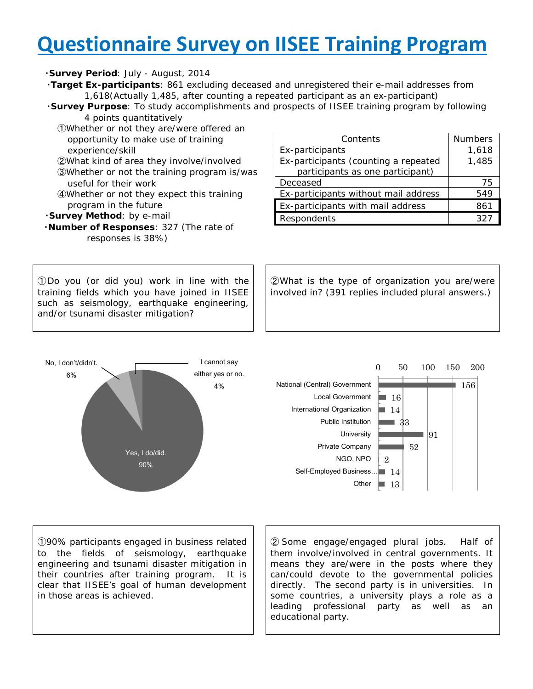# **Questionnaire Survey on IISEE Training Program**

#### ・*Survey Period*: July - August, 2014

- ・*Target Ex-participants*: 861 excluding deceased and unregistered their e-mail addresses from 1,618(Actually 1,485, after counting a repeated participant as an ex-participant)
- ・*Survey Purpose*: To study accomplishments and prospects of IISEE training program by following 4 points quantitatively
	- ①Whether or not they are/were offered an opportunity to make use of training experience/skill
	- ②What kind of area they involve/involved
	- ③Whether or not the training program is/was useful for their work
	- ④Whether or not they expect this training program in the future
- ・*Survey Method*: by e-mail
- ・*Number of Responses*: 327 (The rate of responses is 38%)

①Do you (or did you) work in line with the training fields which you have joined in IISEE such as seismology, earthquake engineering, and/or tsunami disaster mitigation?



Contents Numbers Ex-participants 1,618 Ex-participants (counting a repeated participants as one participant) 1,485 Deceased 75 Ex-participants without mail address | 549 Ex-participants with mail address | 861 Respondents 327

②What is the type of organization you are/were involved in? (391 replies included plural answers.)



①90% participants engaged in business related to the fields of seismology, earthquake engineering and tsunami disaster mitigation in their countries after training program. It is clear that IISEE's goal of human development in those areas is achieved.

② Some engage/engaged plural jobs. Half of them involve/involved in central governments. It means they are/were in the posts where they can/could devote to the governmental policies directly. The second party is in universities. In some countries, a university plays a role as a leading professional party as well as an educational party.